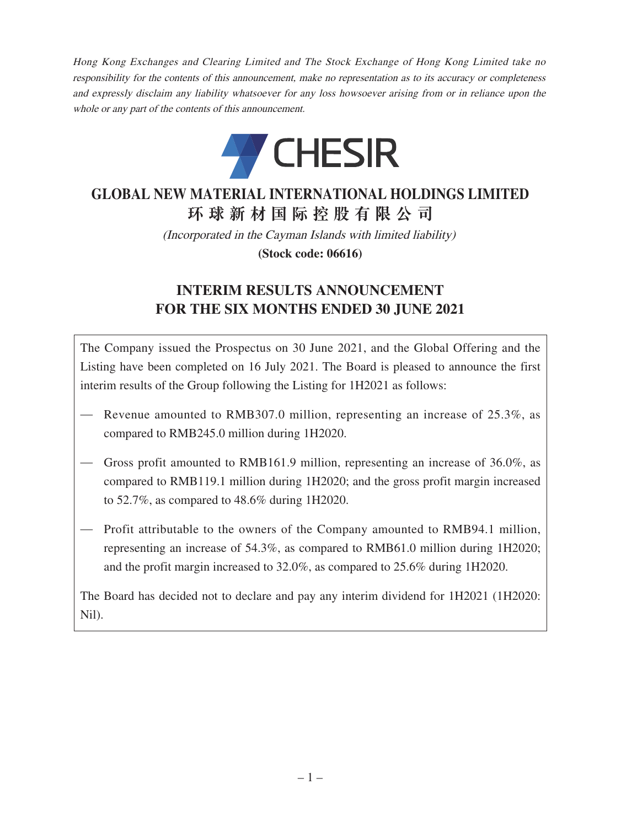Hong Kong Exchanges and Clearing Limited and The Stock Exchange of Hong Kong Limited take no responsibility for the contents of this announcement, make no representation as to its accuracy or completeness and expressly disclaim any liability whatsoever for any loss howsoever arising from or in reliance upon the whole or any part of the contents of this announcement.



# **GLOBAL NEW MATERIAL INTERNATIONAL HOLDINGS LIMITED 環球新材國際控股有限公司**

(Incorporated in the Cayman Islands with limited liability)

**(Stock code: 06616)**

# **INTERIM RESULTS ANNOUNCEMENT FOR THE SIX MONTHS ENDED 30 JUNE 2021**

The Company issued the Prospectus on 30 June 2021, and the Global Offering and the Listing have been completed on 16 July 2021. The Board is pleased to announce the first interim results of the Group following the Listing for 1H2021 as follows:

- Revenue amounted to RMB307.0 million, representing an increase of 25.3%, as compared to RMB245.0 million during 1H2020.
- Gross profit amounted to RMB161.9 million, representing an increase of 36.0%, as compared to RMB119.1 million during 1H2020; and the gross profit margin increased to 52.7%, as compared to 48.6% during 1H2020.
- Profit attributable to the owners of the Company amounted to RMB94.1 million, representing an increase of 54.3%, as compared to RMB61.0 million during 1H2020; and the profit margin increased to 32.0%, as compared to 25.6% during 1H2020.

The Board has decided not to declare and pay any interim dividend for 1H2021 (1H2020: Nil).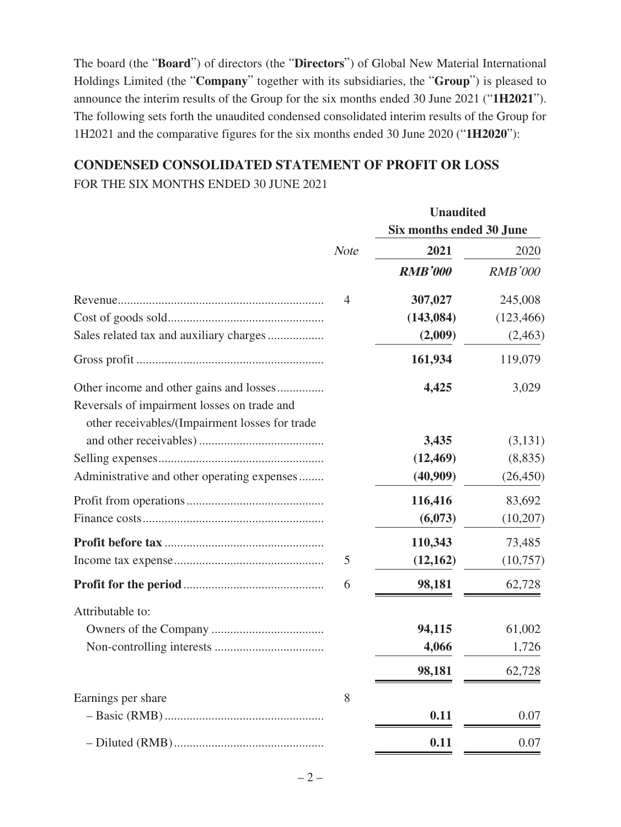The board (the "**Board**") of directors (the "**Directors**") of Global New Material International Holdings Limited (the "**Company**" together with its subsidiaries, the "**Group**") is pleased to announce the interim results of the Group for the six months ended 30 June 2021 ("**1H2021**"). The following sets forth the unaudited condensed consolidated interim results of the Group for 1H2021 and the comparative figures for the six months ended 30 June 2020 ("**1H2020**"):

## **CONDENSED CONSOLIDATED STATEMENT OF PROFIT OR LOSS** FOR THE SIX MONTHS ENDED 30 JUNE 2021

|                                                                                        |             | <b>Unaudited</b>         |                |
|----------------------------------------------------------------------------------------|-------------|--------------------------|----------------|
|                                                                                        |             | Six months ended 30 June |                |
|                                                                                        | <b>Note</b> | 2021                     | 2020           |
|                                                                                        |             | <b>RMB'000</b>           | <b>RMB'000</b> |
|                                                                                        | 4           | 307,027                  | 245,008        |
|                                                                                        |             | (143, 084)               | (123, 466)     |
| Sales related tax and auxiliary charges                                                |             | (2,009)                  | (2, 463)       |
|                                                                                        |             | 161,934                  | 119,079        |
| Other income and other gains and losses<br>Reversals of impairment losses on trade and |             | 4,425                    | 3,029          |
| other receivables/(Impairment losses for trade                                         |             | 3,435                    | (3, 131)       |
|                                                                                        |             | (12, 469)                | (8, 835)       |
| Administrative and other operating expenses                                            |             | (40,909)                 | (26, 450)      |
|                                                                                        |             | 116,416                  | 83,692         |
|                                                                                        |             | (6,073)                  | (10,207)       |
|                                                                                        |             | 110,343                  | 73,485         |
|                                                                                        | 5           | (12, 162)                | (10,757)       |
|                                                                                        | 6           | 98,181                   | 62,728         |
| Attributable to:                                                                       |             |                          |                |
|                                                                                        |             | 94,115                   | 61,002         |
|                                                                                        |             | 4,066                    | 1,726          |
|                                                                                        |             | 98,181                   | 62,728         |
| Earnings per share                                                                     | 8           |                          |                |
|                                                                                        |             | 0.11                     | 0.07           |
|                                                                                        |             | 0.11                     | 0.07           |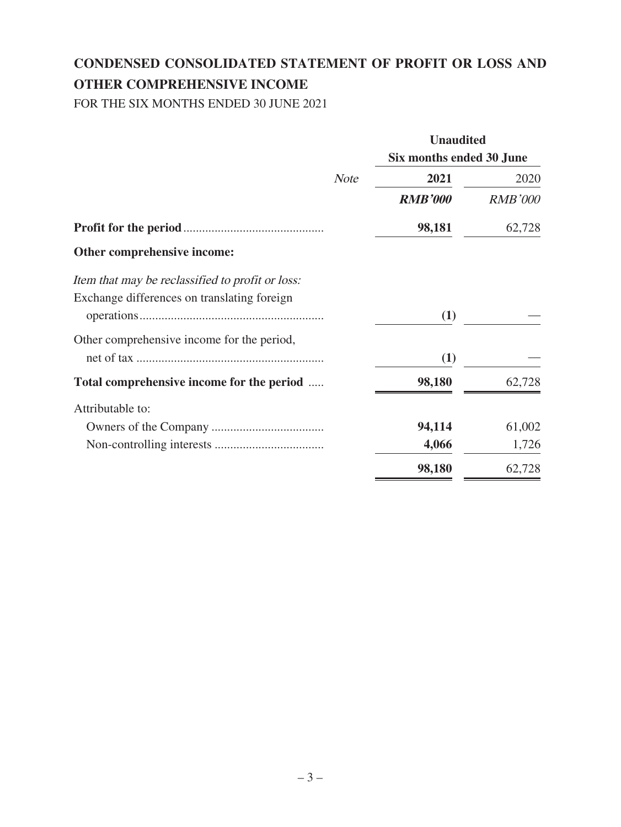# **CONDENSED CONSOLIDATED STATEMENT OF PROFIT OR LOSS AND OTHER COMPREHENSIVE INCOME**

FOR THE SIX MONTHS ENDED 30 JUNE 2021

|                                                  |             | <b>Unaudited</b>         |                |
|--------------------------------------------------|-------------|--------------------------|----------------|
|                                                  |             | Six months ended 30 June |                |
|                                                  | <b>Note</b> | 2021                     | 2020           |
|                                                  |             | <b>RMB'000</b>           | <b>RMB'000</b> |
|                                                  |             | 98,181                   | 62,728         |
| Other comprehensive income:                      |             |                          |                |
| Item that may be reclassified to profit or loss: |             |                          |                |
| Exchange differences on translating foreign      |             |                          |                |
|                                                  |             | (1)                      |                |
| Other comprehensive income for the period,       |             |                          |                |
|                                                  |             | (1)                      |                |
| Total comprehensive income for the period        |             | 98,180                   | 62,728         |
| Attributable to:                                 |             |                          |                |
|                                                  |             | 94,114                   | 61,002         |
|                                                  |             | 4,066                    | 1,726          |
|                                                  |             | 98,180                   | 62,728         |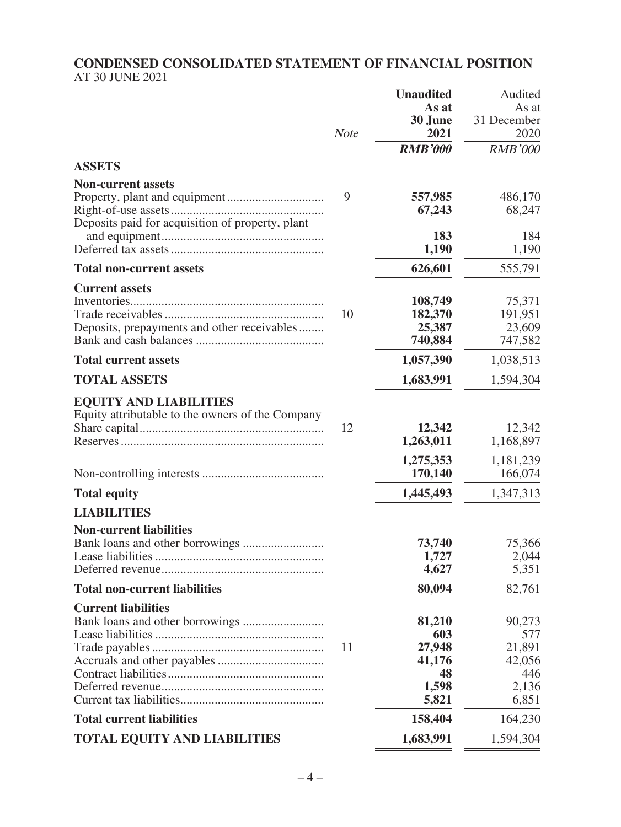#### **CONDENSED CONSOLIDATED STATEMENT OF FINANCIAL POSITION** AT 30 JUNE 2021

|                                                                                   | <b>Note</b> | <b>Unaudited</b><br>As at<br>30 June<br>2021              | Audited<br>As at<br>31 December<br>2020                    |
|-----------------------------------------------------------------------------------|-------------|-----------------------------------------------------------|------------------------------------------------------------|
|                                                                                   |             | <b>RMB'000</b>                                            | <b>RMB'000</b>                                             |
| <b>ASSETS</b>                                                                     |             |                                                           |                                                            |
| <b>Non-current assets</b>                                                         |             |                                                           |                                                            |
| Deposits paid for acquisition of property, plant                                  | 9           | 557,985<br>67,243<br>183                                  | 486,170<br>68,247<br>184                                   |
|                                                                                   |             | 1,190                                                     | 1,190                                                      |
| <b>Total non-current assets</b>                                                   |             | 626,601                                                   | 555,791                                                    |
| <b>Current assets</b><br>Deposits, prepayments and other receivables              | 10          | 108,749<br>182,370<br>25,387<br>740,884                   | 75,371<br>191,951<br>23,609<br>747,582                     |
| <b>Total current assets</b>                                                       |             | 1,057,390                                                 | 1,038,513                                                  |
| <b>TOTAL ASSETS</b>                                                               |             | 1,683,991                                                 | 1,594,304                                                  |
| <b>EQUITY AND LIABILITIES</b><br>Equity attributable to the owners of the Company | 12          | 12,342<br>1,263,011                                       | 12,342<br>1,168,897                                        |
|                                                                                   |             | 1,275,353<br>170,140                                      | 1,181,239<br>166,074                                       |
| <b>Total equity</b>                                                               |             | 1,445,493                                                 | 1,347,313                                                  |
| <b>LIABILITIES</b>                                                                |             |                                                           |                                                            |
| <b>Non-current liabilities</b>                                                    |             | 73,740<br>1,727<br>4,627                                  | 75,366<br>2,044<br>5,351                                   |
| <b>Total non-current liabilities</b>                                              |             | 80,094                                                    | 82,761                                                     |
| <b>Current liabilities</b>                                                        | 11          | 81,210<br>603<br>27,948<br>41,176<br>48<br>1,598<br>5,821 | 90,273<br>577<br>21,891<br>42,056<br>446<br>2,136<br>6,851 |
| <b>Total current liabilities</b>                                                  |             | 158,404                                                   | 164,230                                                    |
| <b>TOTAL EQUITY AND LIABILITIES</b>                                               |             | 1,683,991                                                 | 1,594,304                                                  |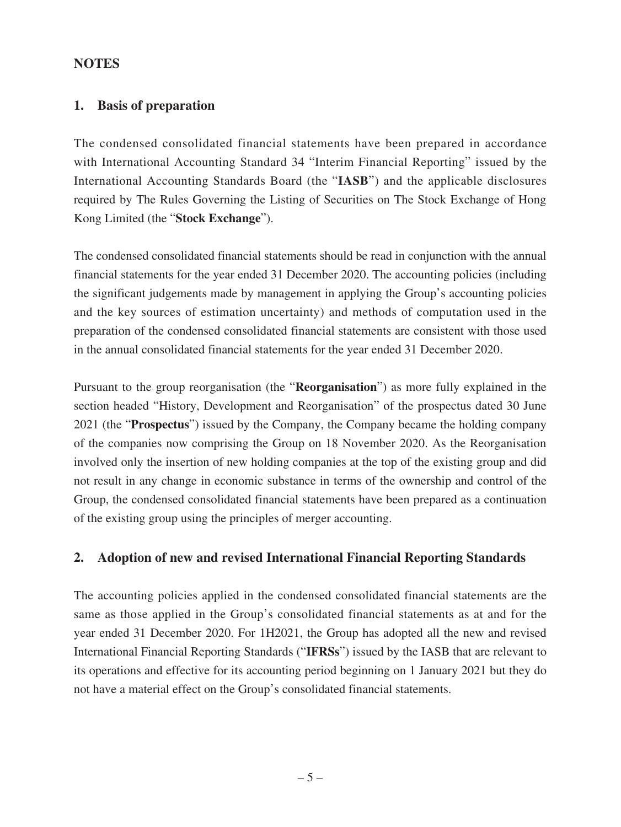### **NOTES**

#### **1. Basis of preparation**

The condensed consolidated financial statements have been prepared in accordance with International Accounting Standard 34 "Interim Financial Reporting" issued by the International Accounting Standards Board (the "**IASB**") and the applicable disclosures required by The Rules Governing the Listing of Securities on The Stock Exchange of Hong Kong Limited (the "**Stock Exchange**").

The condensed consolidated financial statements should be read in conjunction with the annual financial statements for the year ended 31 December 2020. The accounting policies (including the significant judgements made by management in applying the Group's accounting policies and the key sources of estimation uncertainty) and methods of computation used in the preparation of the condensed consolidated financial statements are consistent with those used in the annual consolidated financial statements for the year ended 31 December 2020.

Pursuant to the group reorganisation (the "**Reorganisation**") as more fully explained in the section headed "History, Development and Reorganisation" of the prospectus dated 30 June 2021 (the "**Prospectus**") issued by the Company, the Company became the holding company of the companies now comprising the Group on 18 November 2020. As the Reorganisation involved only the insertion of new holding companies at the top of the existing group and did not result in any change in economic substance in terms of the ownership and control of the Group, the condensed consolidated financial statements have been prepared as a continuation of the existing group using the principles of merger accounting.

## **2. Adoption of new and revised International Financial Reporting Standards**

The accounting policies applied in the condensed consolidated financial statements are the same as those applied in the Group's consolidated financial statements as at and for the year ended 31 December 2020. For 1H2021, the Group has adopted all the new and revised International Financial Reporting Standards ("**IFRSs**") issued by the IASB that are relevant to its operations and effective for its accounting period beginning on 1 January 2021 but they do not have a material effect on the Group's consolidated financial statements.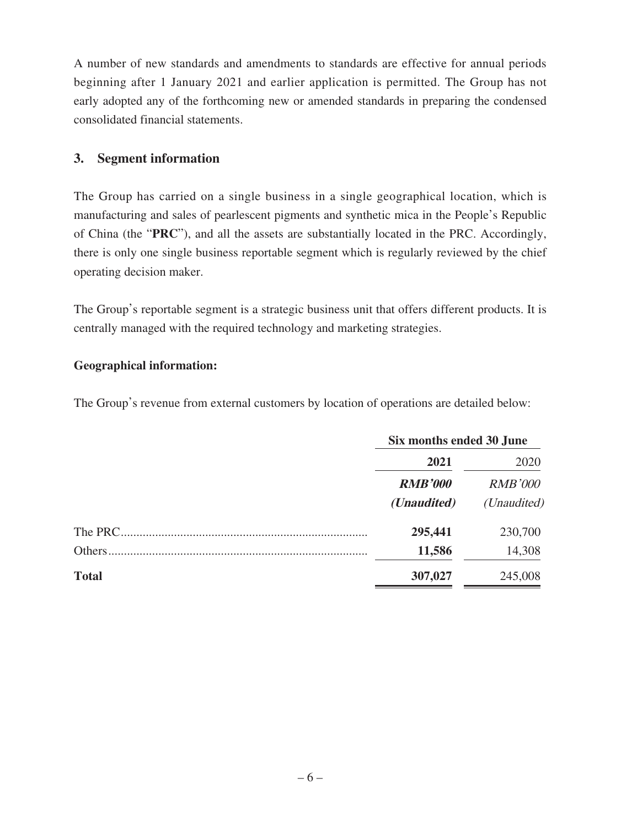A number of new standards and amendments to standards are effective for annual periods beginning after 1 January 2021 and earlier application is permitted. The Group has not early adopted any of the forthcoming new or amended standards in preparing the condensed consolidated financial statements.

## **3. Segment information**

The Group has carried on a single business in a single geographical location, which is manufacturing and sales of pearlescent pigments and synthetic mica in the People's Republic of China (the "**PRC**"), and all the assets are substantially located in the PRC. Accordingly, there is only one single business reportable segment which is regularly reviewed by the chief operating decision maker.

The Group's reportable segment is a strategic business unit that offers different products. It is centrally managed with the required technology and marketing strategies.

### **Geographical information:**

The Group's revenue from external customers by location of operations are detailed below:

|              | Six months ended 30 June |                        |  |
|--------------|--------------------------|------------------------|--|
|              | 2021                     | 2020<br><b>RMB'000</b> |  |
|              | <b>RMB'000</b>           |                        |  |
|              | ( <i>Unaudited</i> )     | (Unaudited)            |  |
| The PRC.     | 295,441                  | 230,700                |  |
| Others       | 11,586                   | 14,308                 |  |
| <b>Total</b> | 307,027                  | 245,008                |  |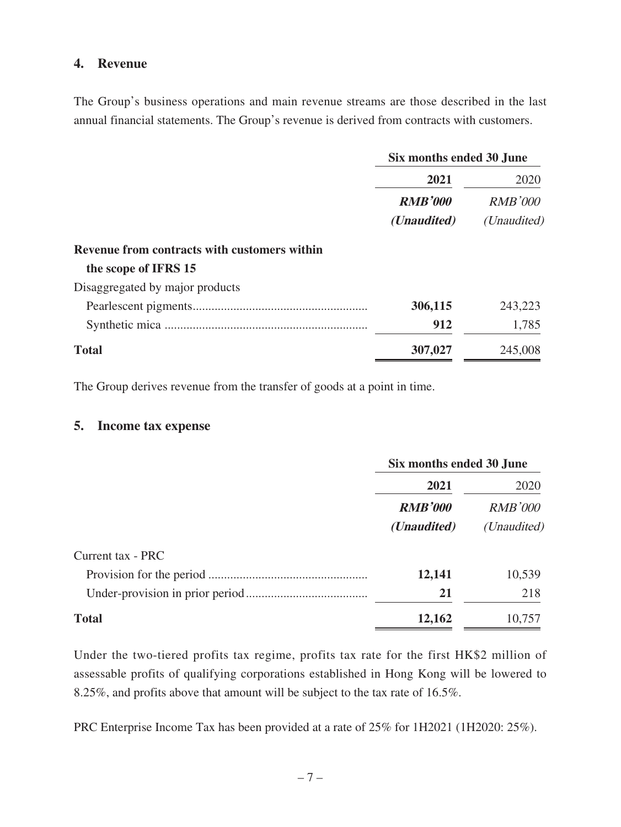#### **4. Revenue**

The Group's business operations and main revenue streams are those described in the last annual financial statements. The Group's revenue is derived from contracts with customers.

|                                              | Six months ended 30 June |                |  |
|----------------------------------------------|--------------------------|----------------|--|
|                                              | 2021                     | 2020           |  |
|                                              | <b>RMB'000</b>           | <b>RMB'000</b> |  |
|                                              | ( <i>Unaudited</i> )     | (Unaudited)    |  |
| Revenue from contracts with customers within |                          |                |  |
| the scope of IFRS 15                         |                          |                |  |
| Disaggregated by major products              |                          |                |  |
|                                              | 306,115                  | 243,223        |  |
|                                              | 912                      | 1,785          |  |
| <b>Total</b>                                 | 307,027                  | 245,008        |  |
|                                              |                          |                |  |

The Group derives revenue from the transfer of goods at a point in time.

#### **5. Income tax expense**

|                   | Six months ended 30 June |                        |
|-------------------|--------------------------|------------------------|
|                   | 2021                     | 2020<br><b>RMB'000</b> |
|                   | <b>RMB'000</b>           |                        |
|                   | ( <i>Unaudited</i> )     | ( <i>Unaudited</i> )   |
| Current tax - PRC |                          |                        |
|                   | 12,141                   | 10,539                 |
|                   | 21                       | 218                    |
| <b>Total</b>      | 12,162                   | 10,757                 |

Under the two-tiered profits tax regime, profits tax rate for the first HK\$2 million of assessable profits of qualifying corporations established in Hong Kong will be lowered to 8.25%, and profits above that amount will be subject to the tax rate of 16.5%.

PRC Enterprise Income Tax has been provided at a rate of 25% for 1H2021 (1H2020: 25%).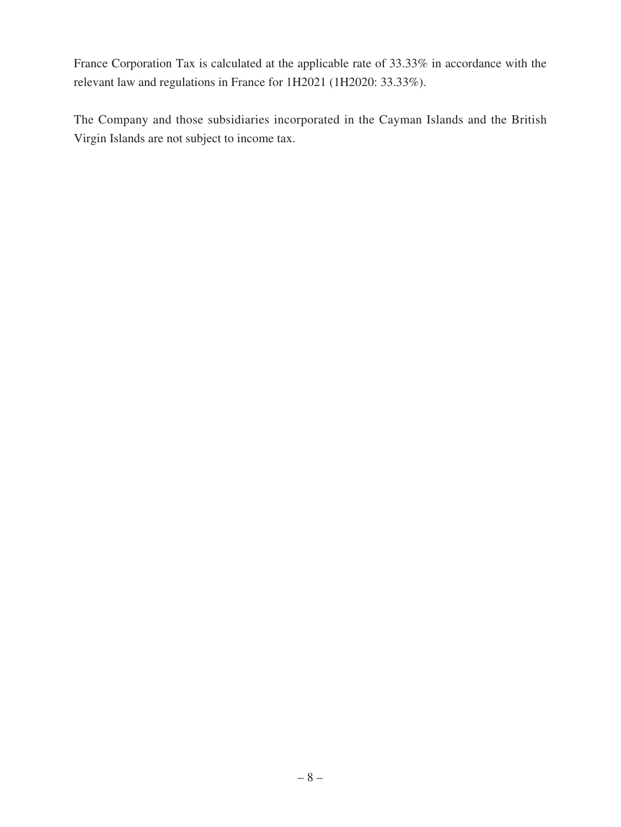France Corporation Tax is calculated at the applicable rate of 33.33% in accordance with the relevant law and regulations in France for 1H2021 (1H2020: 33.33%).

The Company and those subsidiaries incorporated in the Cayman Islands and the British Virgin Islands are not subject to income tax.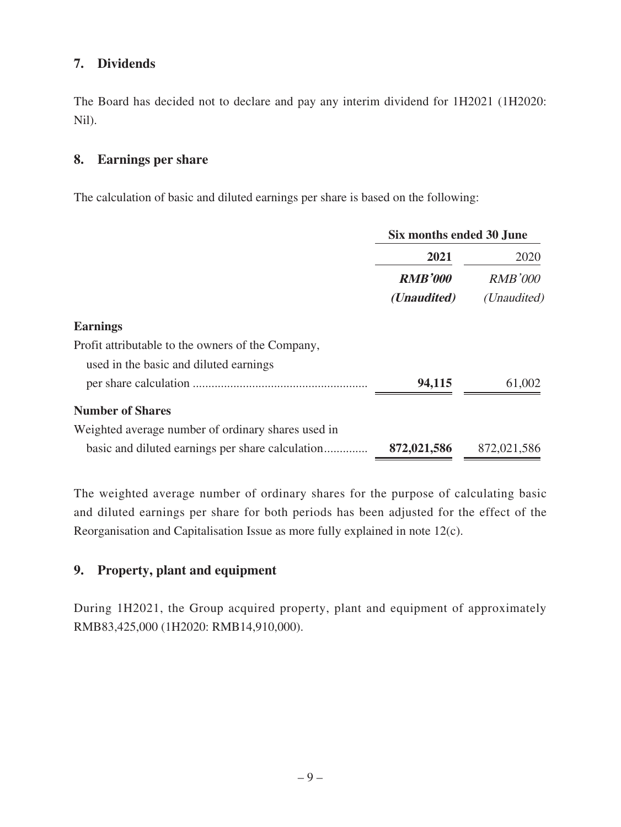## **7. Dividends**

The Board has decided not to declare and pay any interim dividend for 1H2021 (1H2020: Nil).

## **8. Earnings per share**

The calculation of basic and diluted earnings per share is based on the following:

|                                                    | Six months ended 30 June |                      |
|----------------------------------------------------|--------------------------|----------------------|
|                                                    | 2021                     | 2020                 |
|                                                    | <b>RMB'000</b>           | <b>RMB'000</b>       |
|                                                    | ( <i>Unaudited</i> )     | ( <i>Unaudited</i> ) |
| <b>Earnings</b>                                    |                          |                      |
| Profit attributable to the owners of the Company,  |                          |                      |
| used in the basic and diluted earnings             |                          |                      |
|                                                    | 94,115                   | 61,002               |
| <b>Number of Shares</b>                            |                          |                      |
| Weighted average number of ordinary shares used in |                          |                      |
|                                                    | 872,021,586              | 872,021,586          |

The weighted average number of ordinary shares for the purpose of calculating basic and diluted earnings per share for both periods has been adjusted for the effect of the Reorganisation and Capitalisation Issue as more fully explained in note 12(c).

## **9. Property, plant and equipment**

During 1H2021, the Group acquired property, plant and equipment of approximately RMB83,425,000 (1H2020: RMB14,910,000).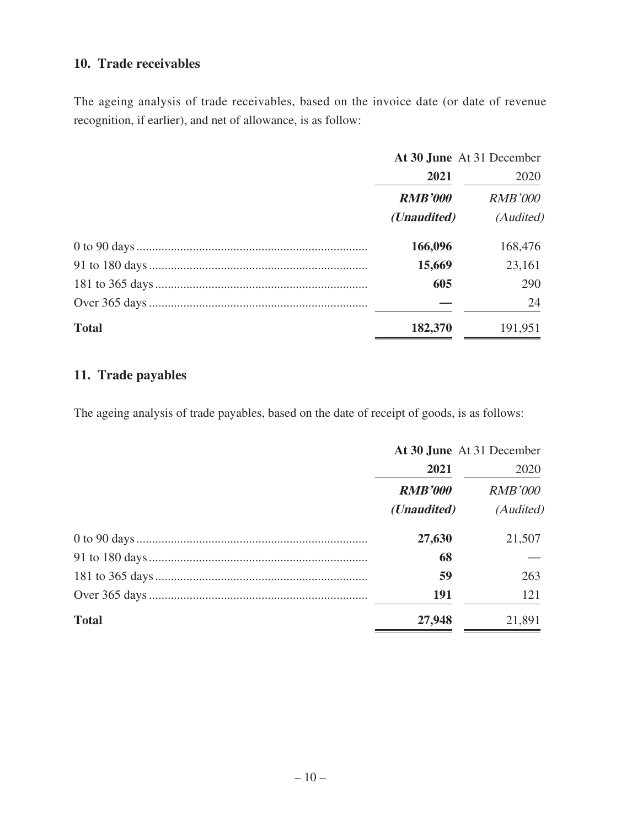## **10. Trade receivables**

The ageing analysis of trade receivables, based on the invoice date (or date of revenue recognition, if earlier), and net of allowance, is as follow:

|              | At 30 June At 31 December |                |  |
|--------------|---------------------------|----------------|--|
|              | 2021                      | 2020           |  |
|              | <b>RMB'000</b>            | <b>RMB'000</b> |  |
|              | ( <i>Unaudited</i> )      | (Audited)      |  |
|              | 166,096                   | 168,476        |  |
|              | 15,669                    | 23,161         |  |
|              | 605                       | 290            |  |
|              |                           | 24             |  |
| <b>Total</b> | 182,370                   | 191,951        |  |

## **11. Trade payables**

The ageing analysis of trade payables, based on the date of receipt of goods, is as follows:

|              | At 30 June At 31 December |                |  |
|--------------|---------------------------|----------------|--|
|              | 2021                      | 2020           |  |
|              | <b>RMB'000</b>            | <b>RMB'000</b> |  |
|              | ( <i>Unaudited</i> )      | (Audited)      |  |
|              | 27,630                    | 21,507         |  |
|              | 68                        |                |  |
|              | 59                        | 263            |  |
|              | <b>191</b>                | 121            |  |
| <b>Total</b> | 27,948                    | 21,891         |  |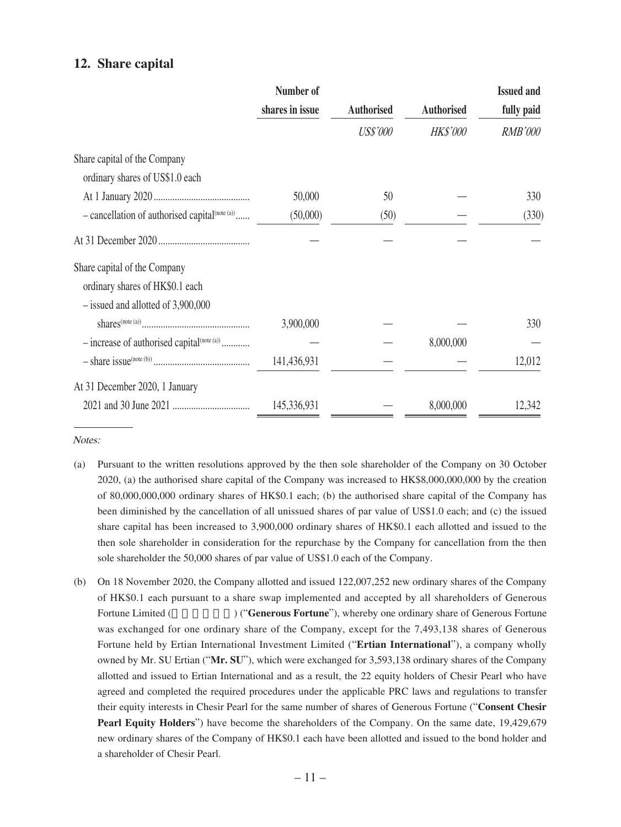#### **12. Share capital**

|                                                        | Number of       |                   |                   | <b>Issued and</b> |
|--------------------------------------------------------|-----------------|-------------------|-------------------|-------------------|
|                                                        | shares in issue | <b>Authorised</b> | <b>Authorised</b> | fully paid        |
|                                                        |                 | <b>US\$'000</b>   | <b>HK\$'000</b>   | <b>RMB'000</b>    |
| Share capital of the Company                           |                 |                   |                   |                   |
| ordinary shares of US\$1.0 each                        |                 |                   |                   |                   |
|                                                        | 50,000          | 50                |                   | 330               |
| $-$ cancellation of authorised capital $(note (a))$    | (50,000)        | (50)              |                   | (330)             |
|                                                        |                 |                   |                   |                   |
| Share capital of the Company                           |                 |                   |                   |                   |
| ordinary shares of HK\$0.1 each                        |                 |                   |                   |                   |
| $-$ issued and allotted of 3,900,000                   |                 |                   |                   |                   |
|                                                        | 3,900,000       |                   |                   | 330               |
| - increase of authorised capital <sup>(note (a))</sup> |                 |                   | 8,000,000         |                   |
|                                                        | 141,436,931     |                   |                   | 12,012            |
| At 31 December 2020, 1 January                         |                 |                   |                   |                   |
|                                                        | 145,336,931     |                   | 8,000,000         | 12,342            |

Notes:

- (a) Pursuant to the written resolutions approved by the then sole shareholder of the Company on 30 October 2020, (a) the authorised share capital of the Company was increased to HK\$8,000,000,000 by the creation of 80,000,000,000 ordinary shares of HK\$0.1 each; (b) the authorised share capital of the Company has been diminished by the cancellation of all unissued shares of par value of US\$1.0 each; and (c) the issued share capital has been increased to 3,900,000 ordinary shares of HK\$0.1 each allotted and issued to the then sole shareholder in consideration for the repurchase by the Company for cancellation from the then sole shareholder the 50,000 shares of par value of US\$1.0 each of the Company.
- (b) On 18 November 2020, the Company allotted and issued 122,007,252 new ordinary shares of the Company of HK\$0.1 each pursuant to a share swap implemented and accepted by all shareholders of Generous Fortune Limited (Casabasetic content of Generous Fortune<sup>"</sup>), whereby one ordinary share of Generous Fortune was exchanged for one ordinary share of the Company, except for the 7,493,138 shares of Generous Fortune held by Ertian International Investment Limited ("**Ertian International**"), a company wholly owned by Mr. SU Ertian ("**Mr. SU**"), which were exchanged for 3,593,138 ordinary shares of the Company allotted and issued to Ertian International and as a result, the 22 equity holders of Chesir Pearl who have agreed and completed the required procedures under the applicable PRC laws and regulations to transfer their equity interests in Chesir Pearl for the same number of shares of Generous Fortune ("**Consent Chesir Pearl Equity Holders**") have become the shareholders of the Company. On the same date, 19,429,679 new ordinary shares of the Company of HK\$0.1 each have been allotted and issued to the bond holder and a shareholder of Chesir Pearl.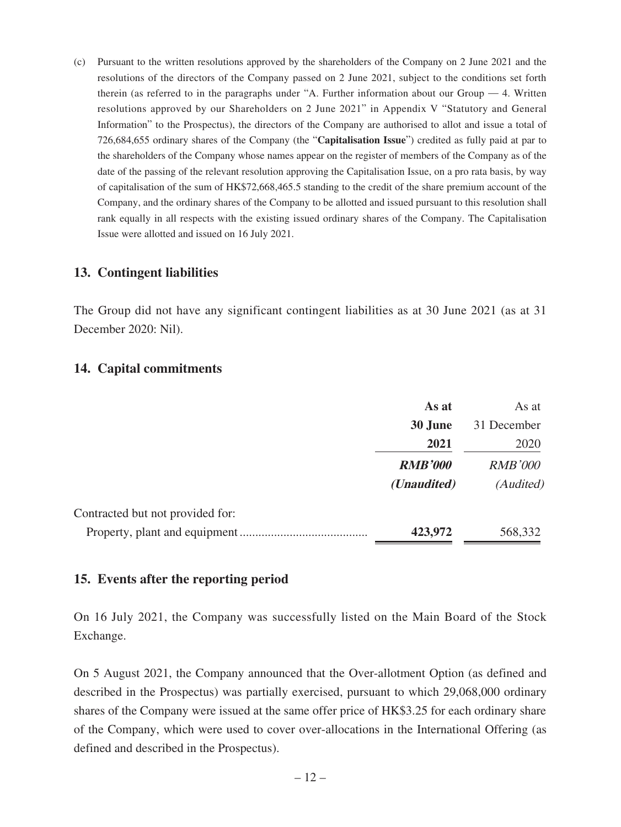(c) Pursuant to the written resolutions approved by the shareholders of the Company on 2 June 2021 and the resolutions of the directors of the Company passed on 2 June 2021, subject to the conditions set forth therein (as referred to in the paragraphs under "A. Further information about our Group  $-4$ . Written resolutions approved by our Shareholders on 2 June 2021" in Appendix V "Statutory and General Information" to the Prospectus), the directors of the Company are authorised to allot and issue a total of 726,684,655 ordinary shares of the Company (the "**Capitalisation Issue**") credited as fully paid at par to the shareholders of the Company whose names appear on the register of members of the Company as of the date of the passing of the relevant resolution approving the Capitalisation Issue, on a pro rata basis, by way of capitalisation of the sum of HK\$72,668,465.5 standing to the credit of the share premium account of the Company, and the ordinary shares of the Company to be allotted and issued pursuant to this resolution shall rank equally in all respects with the existing issued ordinary shares of the Company. The Capitalisation Issue were allotted and issued on 16 July 2021.

#### **13. Contingent liabilities**

The Group did not have any significant contingent liabilities as at 30 June 2021 (as at 31 December 2020: Nil).

### **14. Capital commitments**

|                                  | As at                | As at          |
|----------------------------------|----------------------|----------------|
|                                  | 30 June              | 31 December    |
|                                  | 2021                 | 2020           |
|                                  | <b>RMB'000</b>       | <b>RMB'000</b> |
|                                  | ( <i>Unaudited</i> ) | (Audited)      |
| Contracted but not provided for: |                      |                |
| Property, plant and equipment    | 423,972              | 568,332        |

## **15. Events after the reporting period**

On 16 July 2021, the Company was successfully listed on the Main Board of the Stock Exchange.

On 5 August 2021, the Company announced that the Over-allotment Option (as defined and described in the Prospectus) was partially exercised, pursuant to which 29,068,000 ordinary shares of the Company were issued at the same offer price of HK\$3.25 for each ordinary share of the Company, which were used to cover over-allocations in the International Offering (as defined and described in the Prospectus).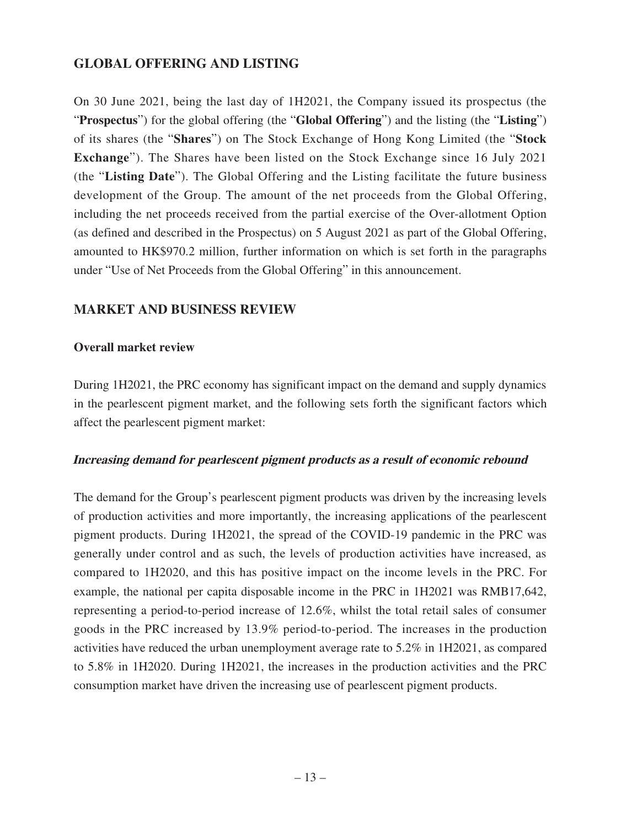## **GLOBAL OFFERING AND LISTING**

On 30 June 2021, being the last day of 1H2021, the Company issued its prospectus (the "**Prospectus**") for the global offering (the "**Global Offering**") and the listing (the "**Listing**") of its shares (the "**Shares**") on The Stock Exchange of Hong Kong Limited (the "**Stock Exchange**"). The Shares have been listed on the Stock Exchange since 16 July 2021 (the "**Listing Date**"). The Global Offering and the Listing facilitate the future business development of the Group. The amount of the net proceeds from the Global Offering, including the net proceeds received from the partial exercise of the Over-allotment Option (as defined and described in the Prospectus) on 5 August 2021 as part of the Global Offering, amounted to HK\$970.2 million, further information on which is set forth in the paragraphs under "Use of Net Proceeds from the Global Offering" in this announcement.

## **MARKET AND BUSINESS REVIEW**

#### **Overall market review**

During 1H2021, the PRC economy has significant impact on the demand and supply dynamics in the pearlescent pigment market, and the following sets forth the significant factors which affect the pearlescent pigment market:

#### **Increasing demand for pearlescent pigment products as a result of economic rebound**

The demand for the Group's pearlescent pigment products was driven by the increasing levels of production activities and more importantly, the increasing applications of the pearlescent pigment products. During 1H2021, the spread of the COVID-19 pandemic in the PRC was generally under control and as such, the levels of production activities have increased, as compared to 1H2020, and this has positive impact on the income levels in the PRC. For example, the national per capita disposable income in the PRC in 1H2021 was RMB17,642, representing a period-to-period increase of 12.6%, whilst the total retail sales of consumer goods in the PRC increased by 13.9% period-to-period. The increases in the production activities have reduced the urban unemployment average rate to 5.2% in 1H2021, as compared to 5.8% in 1H2020. During 1H2021, the increases in the production activities and the PRC consumption market have driven the increasing use of pearlescent pigment products.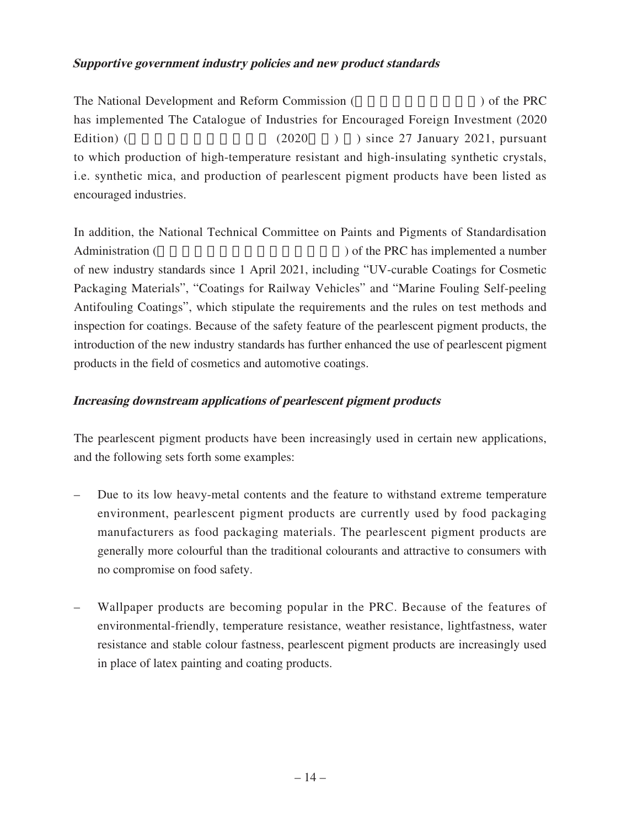### **Supportive government industry policies and new product standards**

The National Development and Reform Commission ( $\qquad$ ) of the PRC has implemented The Catalogue of Industries for Encouraged Foreign Investment (2020 Edition) ( $(2020)$ ) since 27 January 2021, pursuant to which production of high-temperature resistant and high-insulating synthetic crystals, i.e. synthetic mica, and production of pearlescent pigment products have been listed as encouraged industries.

In addition, the National Technical Committee on Paints and Pigments of Standardisation Administration (
a) of the PRC has implemented a number of new industry standards since 1 April 2021, including "UV-curable Coatings for Cosmetic Packaging Materials", "Coatings for Railway Vehicles" and "Marine Fouling Self-peeling Antifouling Coatings", which stipulate the requirements and the rules on test methods and inspection for coatings. Because of the safety feature of the pearlescent pigment products, the introduction of the new industry standards has further enhanced the use of pearlescent pigment products in the field of cosmetics and automotive coatings.

### **Increasing downstream applications of pearlescent pigment products**

The pearlescent pigment products have been increasingly used in certain new applications, and the following sets forth some examples:

- Due to its low heavy-metal contents and the feature to withstand extreme temperature environment, pearlescent pigment products are currently used by food packaging manufacturers as food packaging materials. The pearlescent pigment products are generally more colourful than the traditional colourants and attractive to consumers with no compromise on food safety.
- Wallpaper products are becoming popular in the PRC. Because of the features of environmental-friendly, temperature resistance, weather resistance, lightfastness, water resistance and stable colour fastness, pearlescent pigment products are increasingly used in place of latex painting and coating products.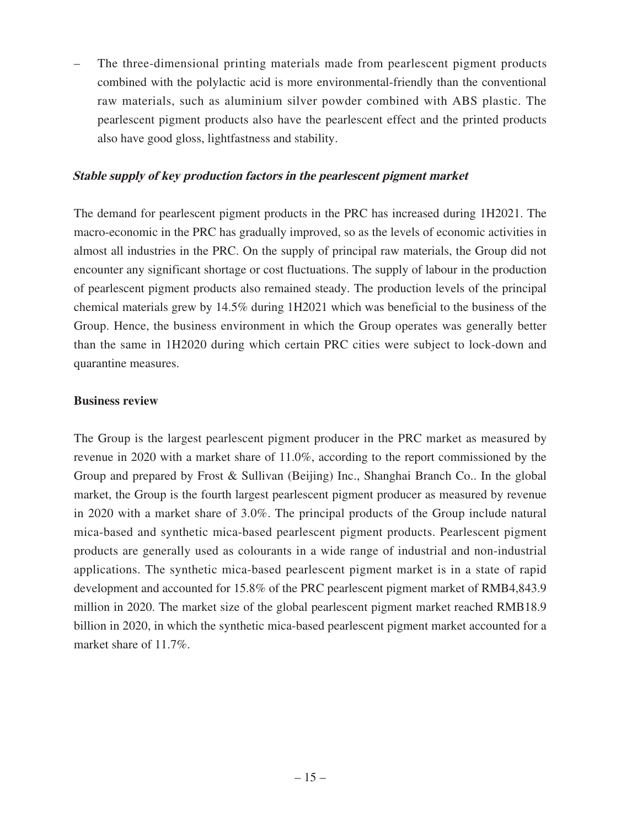– The three-dimensional printing materials made from pearlescent pigment products combined with the polylactic acid is more environmental-friendly than the conventional raw materials, such as aluminium silver powder combined with ABS plastic. The pearlescent pigment products also have the pearlescent effect and the printed products also have good gloss, lightfastness and stability.

#### **Stable supply of key production factors in the pearlescent pigment market**

The demand for pearlescent pigment products in the PRC has increased during 1H2021. The macro-economic in the PRC has gradually improved, so as the levels of economic activities in almost all industries in the PRC. On the supply of principal raw materials, the Group did not encounter any significant shortage or cost fluctuations. The supply of labour in the production of pearlescent pigment products also remained steady. The production levels of the principal chemical materials grew by 14.5% during 1H2021 which was beneficial to the business of the Group. Hence, the business environment in which the Group operates was generally better than the same in 1H2020 during which certain PRC cities were subject to lock-down and quarantine measures.

#### **Business review**

The Group is the largest pearlescent pigment producer in the PRC market as measured by revenue in 2020 with a market share of 11.0%, according to the report commissioned by the Group and prepared by Frost & Sullivan (Beijing) Inc., Shanghai Branch Co.. In the global market, the Group is the fourth largest pearlescent pigment producer as measured by revenue in 2020 with a market share of 3.0%. The principal products of the Group include natural mica-based and synthetic mica-based pearlescent pigment products. Pearlescent pigment products are generally used as colourants in a wide range of industrial and non-industrial applications. The synthetic mica-based pearlescent pigment market is in a state of rapid development and accounted for 15.8% of the PRC pearlescent pigment market of RMB4,843.9 million in 2020. The market size of the global pearlescent pigment market reached RMB18.9 billion in 2020, in which the synthetic mica-based pearlescent pigment market accounted for a market share of 11.7%.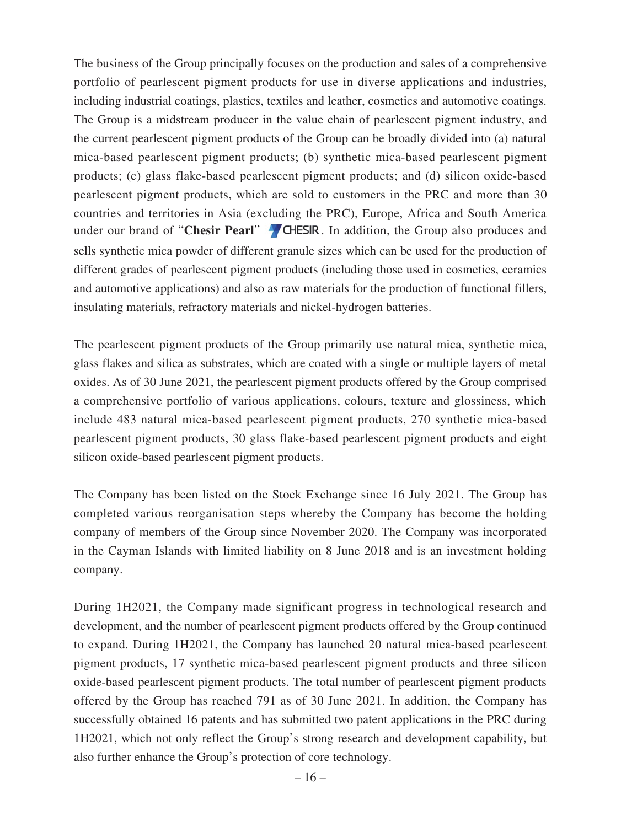The business of the Group principally focuses on the production and sales of a comprehensive portfolio of pearlescent pigment products for use in diverse applications and industries, including industrial coatings, plastics, textiles and leather, cosmetics and automotive coatings. The Group is a midstream producer in the value chain of pearlescent pigment industry, and the current pearlescent pigment products of the Group can be broadly divided into (a) natural mica-based pearlescent pigment products; (b) synthetic mica-based pearlescent pigment products; (c) glass flake-based pearlescent pigment products; and (d) silicon oxide-based pearlescent pigment products, which are sold to customers in the PRC and more than 30 countries and territories in Asia (excluding the PRC), Europe, Africa and South America under our brand of "**Chesir Pearl**" **4** CHESIR. In addition, the Group also produces and sells synthetic mica powder of different granule sizes which can be used for the production of different grades of pearlescent pigment products (including those used in cosmetics, ceramics and automotive applications) and also as raw materials for the production of functional fillers, insulating materials, refractory materials and nickel-hydrogen batteries.

The pearlescent pigment products of the Group primarily use natural mica, synthetic mica, glass flakes and silica as substrates, which are coated with a single or multiple layers of metal oxides. As of 30 June 2021, the pearlescent pigment products offered by the Group comprised a comprehensive portfolio of various applications, colours, texture and glossiness, which include 483 natural mica-based pearlescent pigment products, 270 synthetic mica-based pearlescent pigment products, 30 glass flake-based pearlescent pigment products and eight silicon oxide-based pearlescent pigment products.

The Company has been listed on the Stock Exchange since 16 July 2021. The Group has completed various reorganisation steps whereby the Company has become the holding company of members of the Group since November 2020. The Company was incorporated in the Cayman Islands with limited liability on 8 June 2018 and is an investment holding company.

During 1H2021, the Company made significant progress in technological research and development, and the number of pearlescent pigment products offered by the Group continued to expand. During 1H2021, the Company has launched 20 natural mica-based pearlescent pigment products, 17 synthetic mica-based pearlescent pigment products and three silicon oxide-based pearlescent pigment products. The total number of pearlescent pigment products offered by the Group has reached 791 as of 30 June 2021. In addition, the Company has successfully obtained 16 patents and has submitted two patent applications in the PRC during 1H2021, which not only reflect the Group's strong research and development capability, but also further enhance the Group's protection of core technology.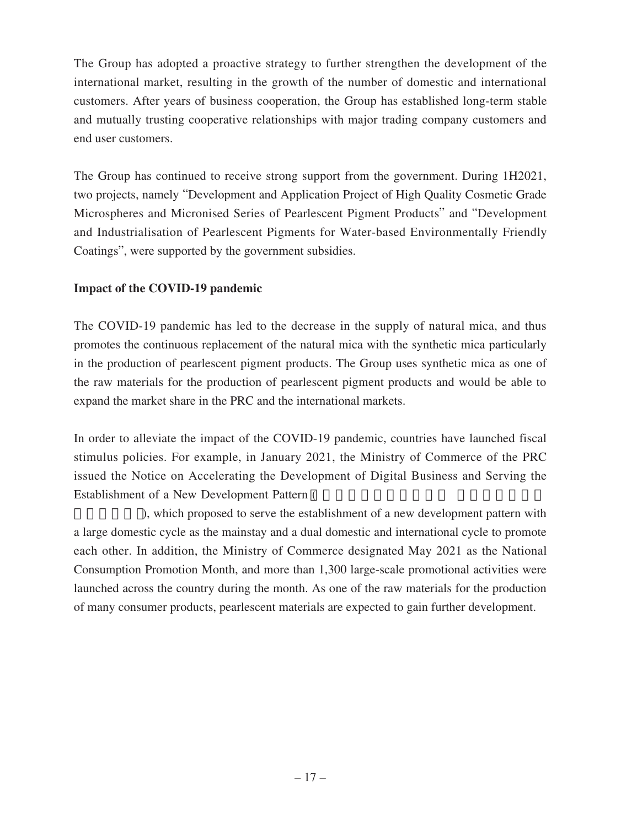The Group has adopted a proactive strategy to further strengthen the development of the international market, resulting in the growth of the number of domestic and international customers. After years of business cooperation, the Group has established long-term stable and mutually trusting cooperative relationships with major trading company customers and end user customers.

The Group has continued to receive strong support from the government. During 1H2021, two projects, namely "Development and Application Project of High Quality Cosmetic Grade Microspheres and Micronised Series of Pearlescent Pigment Products" and "Development and Industrialisation of Pearlescent Pigments for Water-based Environmentally Friendly Coatings", were supported by the government subsidies.

## **Impact of the COVID-19 pandemic**

The COVID-19 pandemic has led to the decrease in the supply of natural mica, and thus promotes the continuous replacement of the natural mica with the synthetic mica particularly in the production of pearlescent pigment products. The Group uses synthetic mica as one of the raw materials for the production of pearlescent pigment products and would be able to expand the market share in the PRC and the international markets.

In order to alleviate the impact of the COVID-19 pandemic, countries have launched fiscal stimulus policies. For example, in January 2021, the Ministry of Commerce of the PRC issued the Notice on Accelerating the Development of Digital Business and Serving the Establishment of a New Development Pattern (

), which proposed to serve the establishment of a new development pattern with a large domestic cycle as the mainstay and a dual domestic and international cycle to promote each other. In addition, the Ministry of Commerce designated May 2021 as the National Consumption Promotion Month, and more than 1,300 large-scale promotional activities were launched across the country during the month. As one of the raw materials for the production of many consumer products, pearlescent materials are expected to gain further development.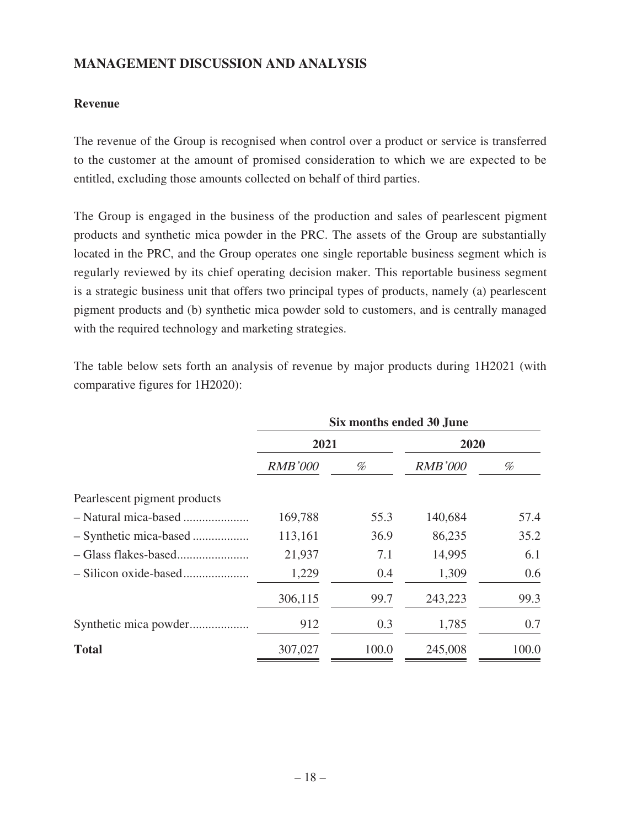## **MANAGEMENT DISCUSSION AND ANALYSIS**

### **Revenue**

The revenue of the Group is recognised when control over a product or service is transferred to the customer at the amount of promised consideration to which we are expected to be entitled, excluding those amounts collected on behalf of third parties.

The Group is engaged in the business of the production and sales of pearlescent pigment products and synthetic mica powder in the PRC. The assets of the Group are substantially located in the PRC, and the Group operates one single reportable business segment which is regularly reviewed by its chief operating decision maker. This reportable business segment is a strategic business unit that offers two principal types of products, namely (a) pearlescent pigment products and (b) synthetic mica powder sold to customers, and is centrally managed with the required technology and marketing strategies.

The table below sets forth an analysis of revenue by major products during 1H2021 (with comparative figures for 1H2020):

|                              | Six months ended 30 June |       |                |       |      |  |
|------------------------------|--------------------------|-------|----------------|-------|------|--|
|                              | 2021                     |       |                |       | 2020 |  |
|                              | <b>RMB'000</b>           | %     | <b>RMB'000</b> | %     |      |  |
| Pearlescent pigment products |                          |       |                |       |      |  |
|                              | 169,788                  | 55.3  | 140,684        | 57.4  |      |  |
|                              | 113,161                  | 36.9  | 86,235         | 35.2  |      |  |
|                              | 21,937                   | 7.1   | 14,995         | 6.1   |      |  |
|                              | 1,229                    | 0.4   | 1,309          | 0.6   |      |  |
|                              | 306,115                  | 99.7  | 243,223        | 99.3  |      |  |
| Synthetic mica powder        | 912                      | 0.3   | 1,785          | 0.7   |      |  |
| <b>Total</b>                 | 307,027                  | 100.0 | 245,008        | 100.0 |      |  |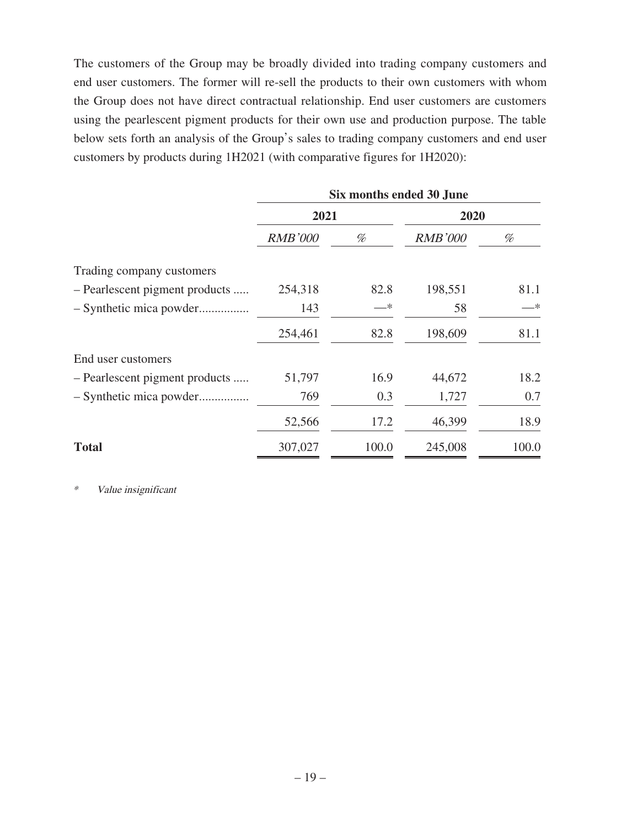The customers of the Group may be broadly divided into trading company customers and end user customers. The former will re-sell the products to their own customers with whom the Group does not have direct contractual relationship. End user customers are customers using the pearlescent pigment products for their own use and production purpose. The table below sets forth an analysis of the Group's sales to trading company customers and end user customers by products during 1H2021 (with comparative figures for 1H2020):

|                                | Six months ended 30 June |       |                |       |
|--------------------------------|--------------------------|-------|----------------|-------|
|                                | 2021                     |       | 2020           |       |
|                                | <b>RMB'000</b>           | %     | <b>RMB'000</b> | %     |
| Trading company customers      |                          |       |                |       |
| - Pearlescent pigment products | 254,318                  | 82.8  | 198,551        | 81.1  |
| - Synthetic mica powder        | 143                      | —*    | 58             | —*    |
|                                | 254,461                  | 82.8  | 198,609        | 81.1  |
| End user customers             |                          |       |                |       |
| - Pearlescent pigment products | 51,797                   | 16.9  | 44,672         | 18.2  |
|                                | 769                      | 0.3   | 1,727          | 0.7   |
|                                | 52,566                   | 17.2  | 46,399         | 18.9  |
| <b>Total</b>                   | 307,027                  | 100.0 | 245,008        | 100.0 |

\* Value insignificant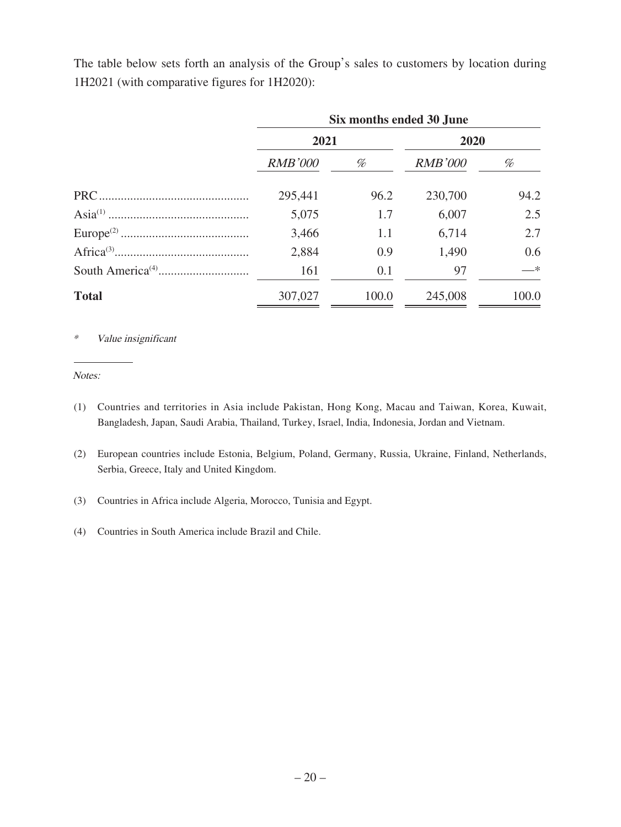The table below sets forth an analysis of the Group's sales to customers by location during 1H2021 (with comparative figures for 1H2020):

|              | Six months ended 30 June |       |                |       |  |
|--------------|--------------------------|-------|----------------|-------|--|
|              | 2021                     |       | 2020           |       |  |
|              | <b>RMB'000</b>           | %     | <b>RMB'000</b> | %     |  |
|              | 295,441                  | 96.2  | 230,700        | 94.2  |  |
|              | 5,075                    | 1.7   | 6,007          | 2.5   |  |
|              | 3,466                    | 1.1   | 6,714          | 2.7   |  |
|              | 2,884                    | 0.9   | 1,490          | 0.6   |  |
|              | 161                      | 0.1   | 97             | —*    |  |
| <b>Total</b> | 307,027                  | 100.0 | 245,008        | 100.0 |  |

\* Value insignificant

Notes:

- (1) Countries and territories in Asia include Pakistan, Hong Kong, Macau and Taiwan, Korea, Kuwait, Bangladesh, Japan, Saudi Arabia, Thailand, Turkey, Israel, India, Indonesia, Jordan and Vietnam.
- (2) European countries include Estonia, Belgium, Poland, Germany, Russia, Ukraine, Finland, Netherlands, Serbia, Greece, Italy and United Kingdom.
- (3) Countries in Africa include Algeria, Morocco, Tunisia and Egypt.
- (4) Countries in South America include Brazil and Chile.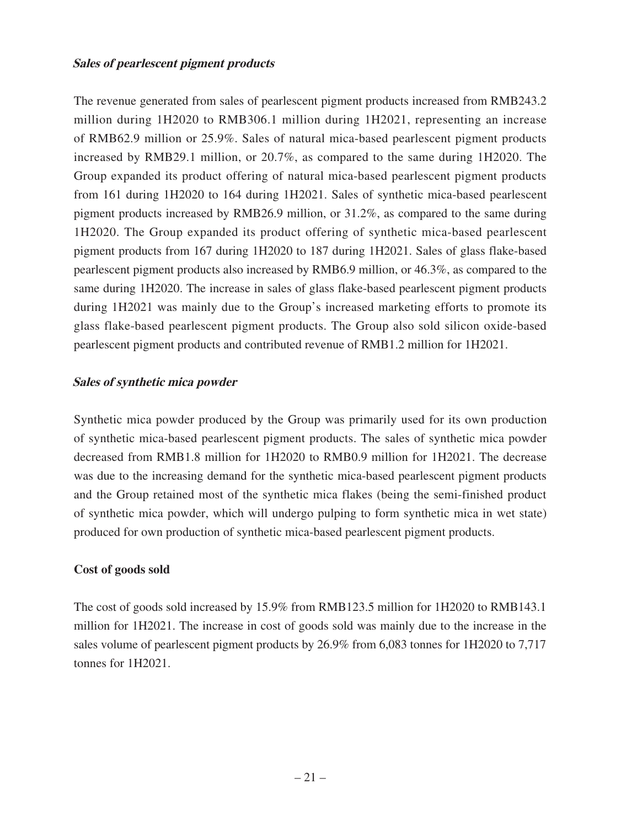#### **Sales of pearlescent pigment products**

The revenue generated from sales of pearlescent pigment products increased from RMB243.2 million during 1H2020 to RMB306.1 million during 1H2021, representing an increase of RMB62.9 million or 25.9%. Sales of natural mica-based pearlescent pigment products increased by RMB29.1 million, or 20.7%, as compared to the same during 1H2020. The Group expanded its product offering of natural mica-based pearlescent pigment products from 161 during 1H2020 to 164 during 1H2021. Sales of synthetic mica-based pearlescent pigment products increased by RMB26.9 million, or 31.2%, as compared to the same during 1H2020. The Group expanded its product offering of synthetic mica-based pearlescent pigment products from 167 during 1H2020 to 187 during 1H2021. Sales of glass flake-based pearlescent pigment products also increased by RMB6.9 million, or 46.3%, as compared to the same during 1H2020. The increase in sales of glass flake-based pearlescent pigment products during 1H2021 was mainly due to the Group's increased marketing efforts to promote its glass flake-based pearlescent pigment products. The Group also sold silicon oxide-based pearlescent pigment products and contributed revenue of RMB1.2 million for 1H2021.

#### **Sales of synthetic mica powder**

Synthetic mica powder produced by the Group was primarily used for its own production of synthetic mica-based pearlescent pigment products. The sales of synthetic mica powder decreased from RMB1.8 million for 1H2020 to RMB0.9 million for 1H2021. The decrease was due to the increasing demand for the synthetic mica-based pearlescent pigment products and the Group retained most of the synthetic mica flakes (being the semi-finished product of synthetic mica powder, which will undergo pulping to form synthetic mica in wet state) produced for own production of synthetic mica-based pearlescent pigment products.

#### **Cost of goods sold**

The cost of goods sold increased by 15.9% from RMB123.5 million for 1H2020 to RMB143.1 million for 1H2021. The increase in cost of goods sold was mainly due to the increase in the sales volume of pearlescent pigment products by 26.9% from 6,083 tonnes for 1H2020 to 7,717 tonnes for 1H2021.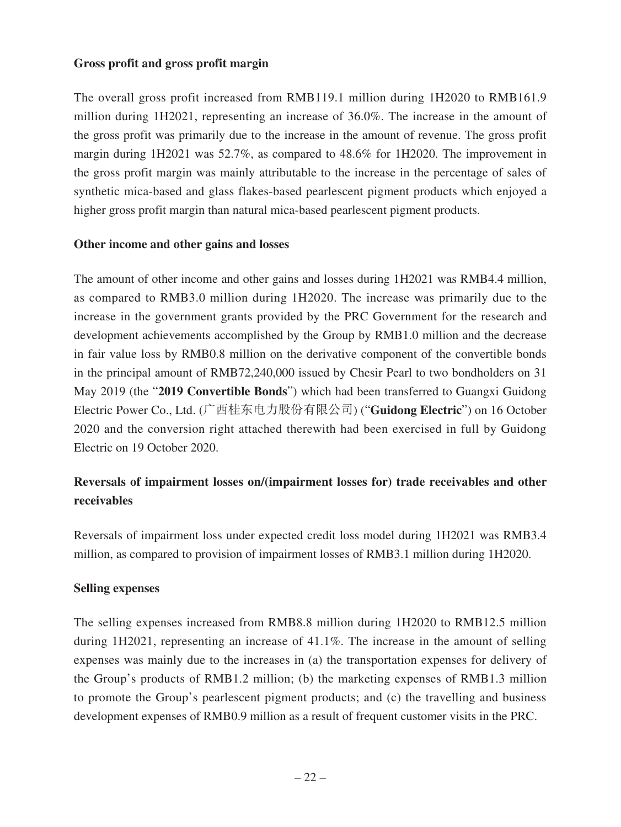#### **Gross profit and gross profit margin**

The overall gross profit increased from RMB119.1 million during 1H2020 to RMB161.9 million during 1H2021, representing an increase of 36.0%. The increase in the amount of the gross profit was primarily due to the increase in the amount of revenue. The gross profit margin during 1H2021 was 52.7%, as compared to 48.6% for 1H2020. The improvement in the gross profit margin was mainly attributable to the increase in the percentage of sales of synthetic mica-based and glass flakes-based pearlescent pigment products which enjoyed a higher gross profit margin than natural mica-based pearlescent pigment products.

#### **Other income and other gains and losses**

The amount of other income and other gains and losses during 1H2021 was RMB4.4 million, as compared to RMB3.0 million during 1H2020. The increase was primarily due to the increase in the government grants provided by the PRC Government for the research and development achievements accomplished by the Group by RMB1.0 million and the decrease in fair value loss by RMB0.8 million on the derivative component of the convertible bonds in the principal amount of RMB72,240,000 issued by Chesir Pearl to two bondholders on 31 May 2019 (the "**2019 Convertible Bonds**") which had been transferred to Guangxi Guidong Electric Power Co., Ltd. (广西桂东电力股份有限公司) ("Guidong Electric") on 16 October 2020 and the conversion right attached therewith had been exercised in full by Guidong Electric on 19 October 2020.

## **Reversals of impairment losses on/(impairment losses for) trade receivables and other receivables**

Reversals of impairment loss under expected credit loss model during 1H2021 was RMB3.4 million, as compared to provision of impairment losses of RMB3.1 million during 1H2020.

#### **Selling expenses**

The selling expenses increased from RMB8.8 million during 1H2020 to RMB12.5 million during 1H2021, representing an increase of 41.1%. The increase in the amount of selling expenses was mainly due to the increases in (a) the transportation expenses for delivery of the Group's products of RMB1.2 million; (b) the marketing expenses of RMB1.3 million to promote the Group's pearlescent pigment products; and (c) the travelling and business development expenses of RMB0.9 million as a result of frequent customer visits in the PRC.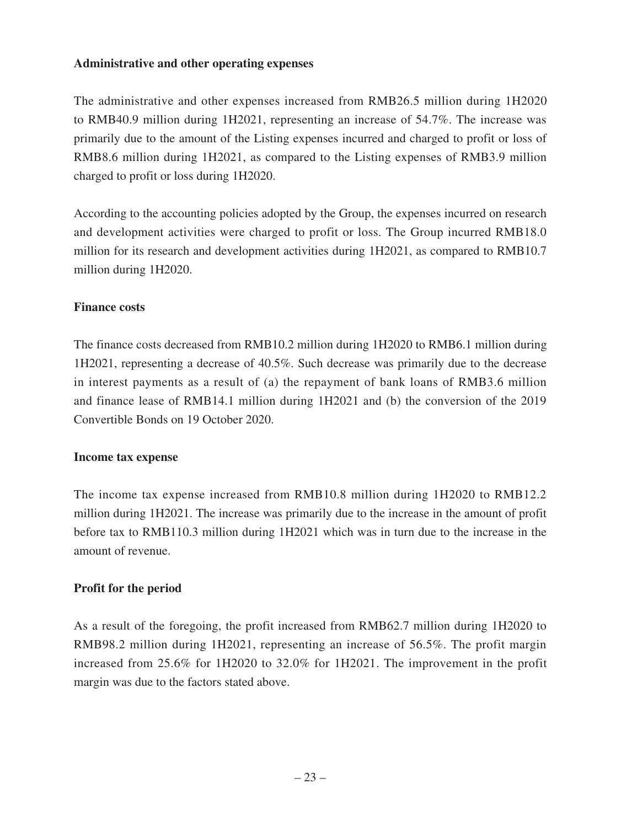#### **Administrative and other operating expenses**

The administrative and other expenses increased from RMB26.5 million during 1H2020 to RMB40.9 million during 1H2021, representing an increase of 54.7%. The increase was primarily due to the amount of the Listing expenses incurred and charged to profit or loss of RMB8.6 million during 1H2021, as compared to the Listing expenses of RMB3.9 million charged to profit or loss during 1H2020.

According to the accounting policies adopted by the Group, the expenses incurred on research and development activities were charged to profit or loss. The Group incurred RMB18.0 million for its research and development activities during 1H2021, as compared to RMB10.7 million during 1H2020.

#### **Finance costs**

The finance costs decreased from RMB10.2 million during 1H2020 to RMB6.1 million during 1H2021, representing a decrease of 40.5%. Such decrease was primarily due to the decrease in interest payments as a result of (a) the repayment of bank loans of RMB3.6 million and finance lease of RMB14.1 million during 1H2021 and (b) the conversion of the 2019 Convertible Bonds on 19 October 2020.

#### **Income tax expense**

The income tax expense increased from RMB10.8 million during 1H2020 to RMB12.2 million during 1H2021. The increase was primarily due to the increase in the amount of profit before tax to RMB110.3 million during 1H2021 which was in turn due to the increase in the amount of revenue.

#### **Profit for the period**

As a result of the foregoing, the profit increased from RMB62.7 million during 1H2020 to RMB98.2 million during 1H2021, representing an increase of 56.5%. The profit margin increased from 25.6% for 1H2020 to 32.0% for 1H2021. The improvement in the profit margin was due to the factors stated above.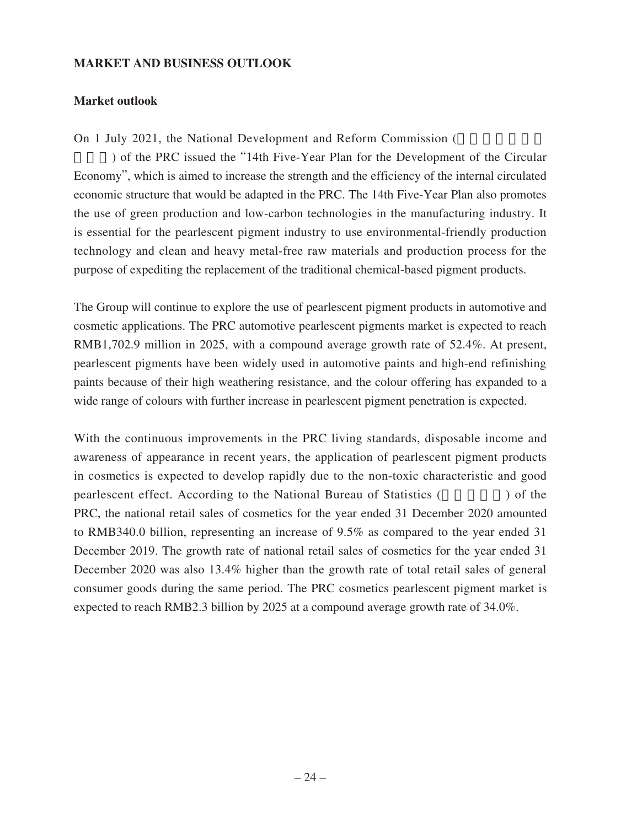#### **MARKET AND BUSINESS OUTLOOK**

#### **Market outlook**

On 1 July 2021, the National Development and Reform Commission (

) of the PRC issued the "14th Five-Year Plan for the Development of the Circular Economy", which is aimed to increase the strength and the efficiency of the internal circulated economic structure that would be adapted in the PRC. The 14th Five-Year Plan also promotes the use of green production and low-carbon technologies in the manufacturing industry. It is essential for the pearlescent pigment industry to use environmental-friendly production technology and clean and heavy metal-free raw materials and production process for the purpose of expediting the replacement of the traditional chemical-based pigment products.

The Group will continue to explore the use of pearlescent pigment products in automotive and cosmetic applications. The PRC automotive pearlescent pigments market is expected to reach RMB1,702.9 million in 2025, with a compound average growth rate of 52.4%. At present, pearlescent pigments have been widely used in automotive paints and high-end refinishing paints because of their high weathering resistance, and the colour offering has expanded to a wide range of colours with further increase in pearlescent pigment penetration is expected.

With the continuous improvements in the PRC living standards, disposable income and awareness of appearance in recent years, the application of pearlescent pigment products in cosmetics is expected to develop rapidly due to the non-toxic characteristic and good pearlescent effect. According to the National Bureau of Statistics (Separately 2015) of the PRC, the national retail sales of cosmetics for the year ended 31 December 2020 amounted to RMB340.0 billion, representing an increase of 9.5% as compared to the year ended 31 December 2019. The growth rate of national retail sales of cosmetics for the year ended 31 December 2020 was also 13.4% higher than the growth rate of total retail sales of general consumer goods during the same period. The PRC cosmetics pearlescent pigment market is expected to reach RMB2.3 billion by 2025 at a compound average growth rate of 34.0%.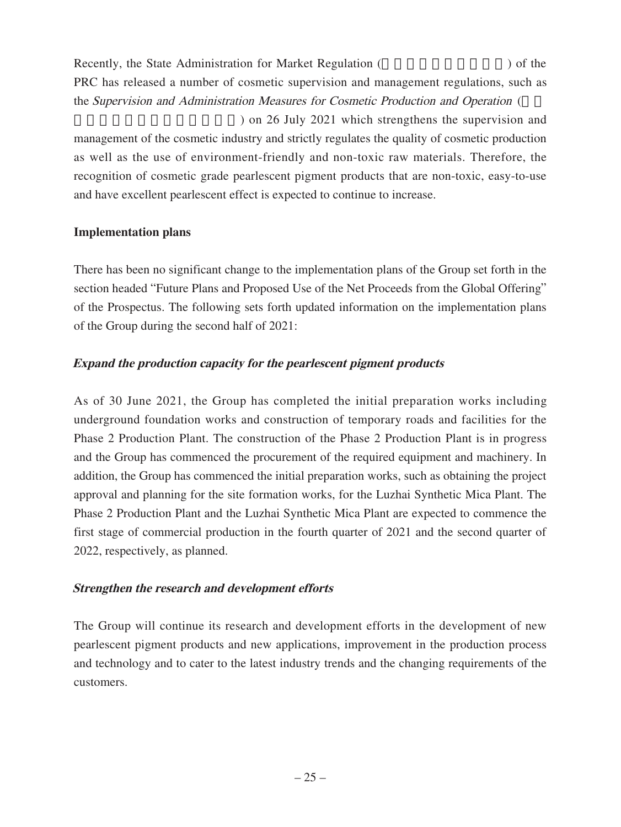Recently, the State Administration for Market Regulation (a) of the state  $\lambda$ PRC has released a number of cosmetic supervision and management regulations, such as the Supervision and Administration Measures for Cosmetic Production and Operation ( ) on 26 July 2021 which strengthens the supervision and

management of the cosmetic industry and strictly regulates the quality of cosmetic production as well as the use of environment-friendly and non-toxic raw materials. Therefore, the recognition of cosmetic grade pearlescent pigment products that are non-toxic, easy-to-use and have excellent pearlescent effect is expected to continue to increase.

#### **Implementation plans**

There has been no significant change to the implementation plans of the Group set forth in the section headed "Future Plans and Proposed Use of the Net Proceeds from the Global Offering" of the Prospectus. The following sets forth updated information on the implementation plans of the Group during the second half of 2021:

## **Expand the production capacity for the pearlescent pigment products**

As of 30 June 2021, the Group has completed the initial preparation works including underground foundation works and construction of temporary roads and facilities for the Phase 2 Production Plant. The construction of the Phase 2 Production Plant is in progress and the Group has commenced the procurement of the required equipment and machinery. In addition, the Group has commenced the initial preparation works, such as obtaining the project approval and planning for the site formation works, for the Luzhai Synthetic Mica Plant. The Phase 2 Production Plant and the Luzhai Synthetic Mica Plant are expected to commence the first stage of commercial production in the fourth quarter of 2021 and the second quarter of 2022, respectively, as planned.

## **Strengthen the research and development efforts**

The Group will continue its research and development efforts in the development of new pearlescent pigment products and new applications, improvement in the production process and technology and to cater to the latest industry trends and the changing requirements of the customers.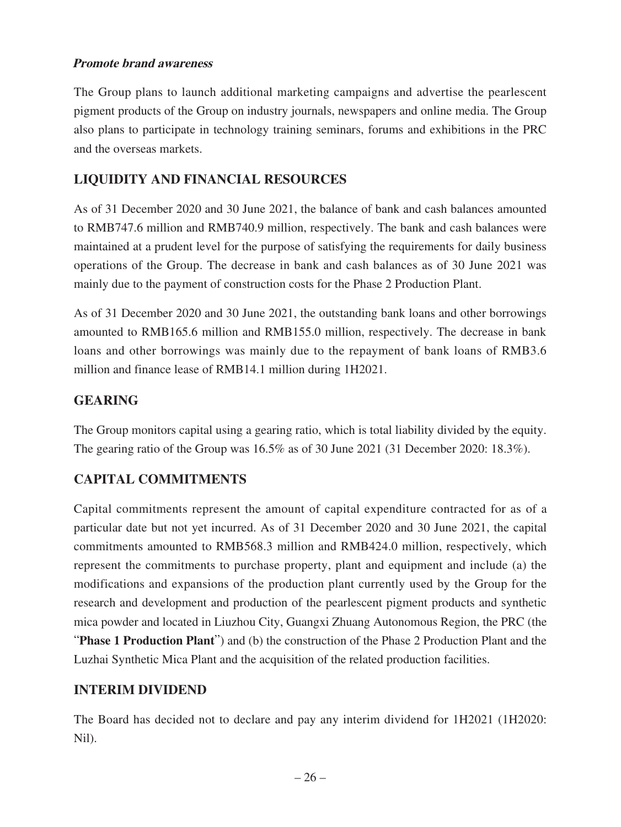#### **Promote brand awareness**

The Group plans to launch additional marketing campaigns and advertise the pearlescent pigment products of the Group on industry journals, newspapers and online media. The Group also plans to participate in technology training seminars, forums and exhibitions in the PRC and the overseas markets.

## **LIQUIDITY AND FINANCIAL RESOURCES**

As of 31 December 2020 and 30 June 2021, the balance of bank and cash balances amounted to RMB747.6 million and RMB740.9 million, respectively. The bank and cash balances were maintained at a prudent level for the purpose of satisfying the requirements for daily business operations of the Group. The decrease in bank and cash balances as of 30 June 2021 was mainly due to the payment of construction costs for the Phase 2 Production Plant.

As of 31 December 2020 and 30 June 2021, the outstanding bank loans and other borrowings amounted to RMB165.6 million and RMB155.0 million, respectively. The decrease in bank loans and other borrowings was mainly due to the repayment of bank loans of RMB3.6 million and finance lease of RMB14.1 million during 1H2021.

## **GEARING**

The Group monitors capital using a gearing ratio, which is total liability divided by the equity. The gearing ratio of the Group was 16.5% as of 30 June 2021 (31 December 2020: 18.3%).

## **CAPITAL COMMITMENTS**

Capital commitments represent the amount of capital expenditure contracted for as of a particular date but not yet incurred. As of 31 December 2020 and 30 June 2021, the capital commitments amounted to RMB568.3 million and RMB424.0 million, respectively, which represent the commitments to purchase property, plant and equipment and include (a) the modifications and expansions of the production plant currently used by the Group for the research and development and production of the pearlescent pigment products and synthetic mica powder and located in Liuzhou City, Guangxi Zhuang Autonomous Region, the PRC (the "**Phase 1 Production Plant**") and (b) the construction of the Phase 2 Production Plant and the Luzhai Synthetic Mica Plant and the acquisition of the related production facilities.

## **INTERIM DIVIDEND**

The Board has decided not to declare and pay any interim dividend for 1H2021 (1H2020: Nil).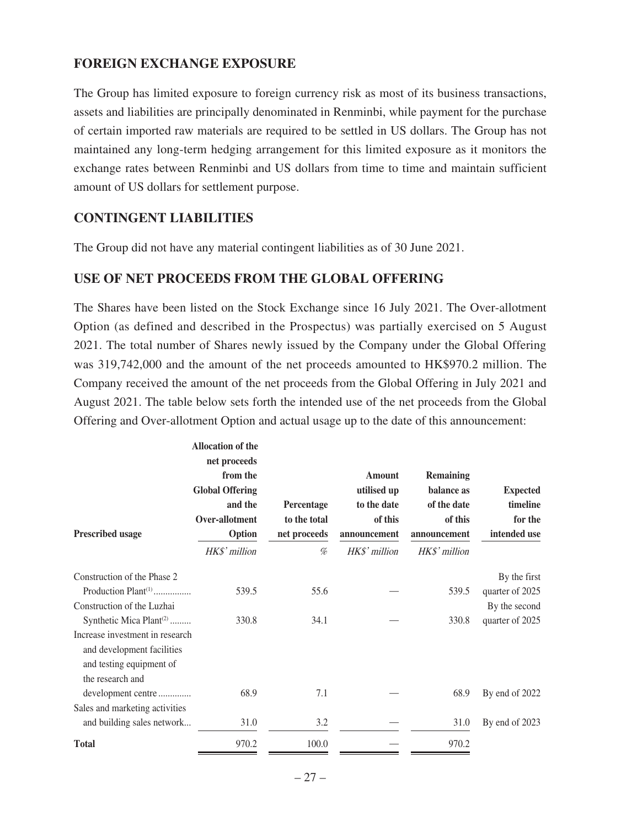## **FOREIGN EXCHANGE EXPOSURE**

The Group has limited exposure to foreign currency risk as most of its business transactions, assets and liabilities are principally denominated in Renminbi, while payment for the purchase of certain imported raw materials are required to be settled in US dollars. The Group has not maintained any long-term hedging arrangement for this limited exposure as it monitors the exchange rates between Renminbi and US dollars from time to time and maintain sufficient amount of US dollars for settlement purpose.

## **CONTINGENT LIABILITIES**

The Group did not have any material contingent liabilities as of 30 June 2021.

#### **USE OF NET PROCEEDS FROM THE GLOBAL OFFERING**

The Shares have been listed on the Stock Exchange since 16 July 2021. The Over-allotment Option (as defined and described in the Prospectus) was partially exercised on 5 August 2021. The total number of Shares newly issued by the Company under the Global Offering was 319,742,000 and the amount of the net proceeds amounted to HK\$970.2 million. The Company received the amount of the net proceeds from the Global Offering in July 2021 and August 2021. The table below sets forth the intended use of the net proceeds from the Global Offering and Over-allotment Option and actual usage up to the date of this announcement:

|                                                                                                                                                      | <b>Allocation of the</b><br>net proceeds<br>from the<br><b>Global Offering</b><br>and the<br>Over-allotment | Percentage<br>to the total | <b>Amount</b><br>utilised up<br>to the date<br>of this | <b>Remaining</b><br>balance as<br>of the date<br>of this | <b>Expected</b><br>timeline<br>for the |
|------------------------------------------------------------------------------------------------------------------------------------------------------|-------------------------------------------------------------------------------------------------------------|----------------------------|--------------------------------------------------------|----------------------------------------------------------|----------------------------------------|
| <b>Prescribed usage</b>                                                                                                                              | Option                                                                                                      | net proceeds               | announcement                                           | announcement                                             | intended use                           |
|                                                                                                                                                      | HK\$' million                                                                                               | %                          | HK\$' million                                          | HK\$' million                                            |                                        |
| Construction of the Phase 2<br>Production Plant <sup>(1)</sup>                                                                                       | 539.5                                                                                                       | 55.6                       |                                                        | 539.5                                                    | By the first<br>quarter of 2025        |
| Construction of the Luzhai                                                                                                                           |                                                                                                             |                            |                                                        |                                                          | By the second                          |
| Synthetic Mica Plant <sup>(2)</sup><br>Increase investment in research<br>and development facilities<br>and testing equipment of<br>the research and | 330.8                                                                                                       | 34.1                       |                                                        | 330.8                                                    | quarter of 2025                        |
| development centre                                                                                                                                   | 68.9                                                                                                        | 7.1                        |                                                        | 68.9                                                     | By end of 2022                         |
| Sales and marketing activities<br>and building sales network                                                                                         | 31.0                                                                                                        | 3.2                        |                                                        | 31.0                                                     | By end of 2023                         |
| <b>Total</b>                                                                                                                                         | 970.2                                                                                                       | 100.0                      |                                                        | 970.2                                                    |                                        |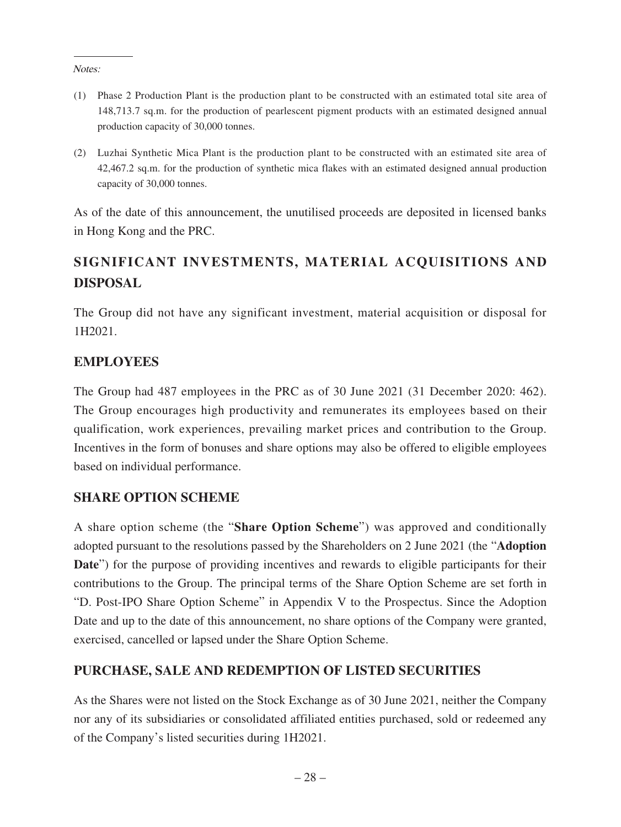Notes:

- (1) Phase 2 Production Plant is the production plant to be constructed with an estimated total site area of 148,713.7 sq.m. for the production of pearlescent pigment products with an estimated designed annual production capacity of 30,000 tonnes.
- (2) Luzhai Synthetic Mica Plant is the production plant to be constructed with an estimated site area of 42,467.2 sq.m. for the production of synthetic mica flakes with an estimated designed annual production capacity of 30,000 tonnes.

As of the date of this announcement, the unutilised proceeds are deposited in licensed banks in Hong Kong and the PRC.

# **SIGNIFICANT INVESTMENTS, MATERIAL ACQUISITIONS AND DISPOSAL**

The Group did not have any significant investment, material acquisition or disposal for 1H2021.

## **EMPLOYEES**

The Group had 487 employees in the PRC as of 30 June 2021 (31 December 2020: 462). The Group encourages high productivity and remunerates its employees based on their qualification, work experiences, prevailing market prices and contribution to the Group. Incentives in the form of bonuses and share options may also be offered to eligible employees based on individual performance.

## **SHARE OPTION SCHEME**

A share option scheme (the "**Share Option Scheme**") was approved and conditionally adopted pursuant to the resolutions passed by the Shareholders on 2 June 2021 (the "**Adoption Date**") for the purpose of providing incentives and rewards to eligible participants for their contributions to the Group. The principal terms of the Share Option Scheme are set forth in "D. Post-IPO Share Option Scheme" in Appendix V to the Prospectus. Since the Adoption Date and up to the date of this announcement, no share options of the Company were granted, exercised, cancelled or lapsed under the Share Option Scheme.

## **PURCHASE, SALE AND REDEMPTION OF LISTED SECURITIES**

As the Shares were not listed on the Stock Exchange as of 30 June 2021, neither the Company nor any of its subsidiaries or consolidated affiliated entities purchased, sold or redeemed any of the Company's listed securities during 1H2021.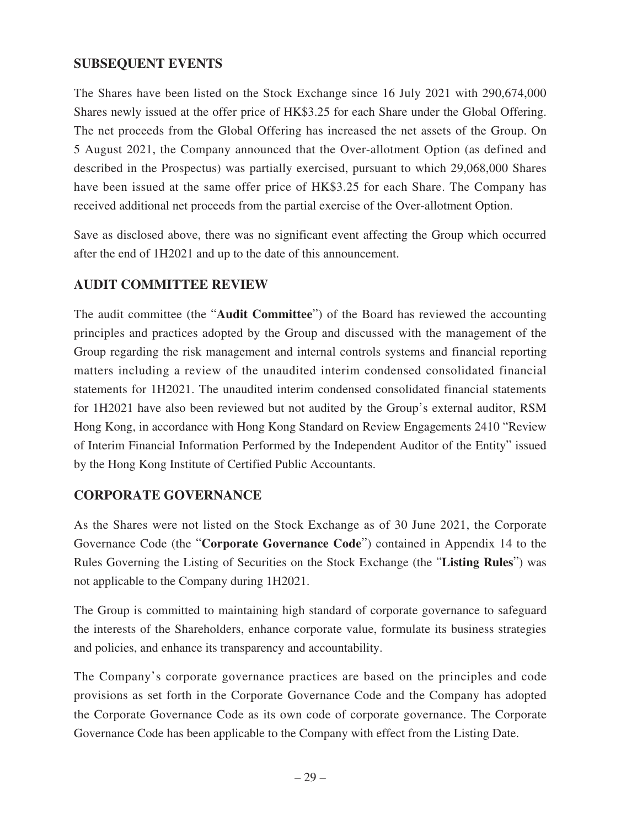## **SUBSEQUENT EVENTS**

The Shares have been listed on the Stock Exchange since 16 July 2021 with 290,674,000 Shares newly issued at the offer price of HK\$3.25 for each Share under the Global Offering. The net proceeds from the Global Offering has increased the net assets of the Group. On 5 August 2021, the Company announced that the Over-allotment Option (as defined and described in the Prospectus) was partially exercised, pursuant to which 29,068,000 Shares have been issued at the same offer price of HK\$3.25 for each Share. The Company has received additional net proceeds from the partial exercise of the Over-allotment Option.

Save as disclosed above, there was no significant event affecting the Group which occurred after the end of 1H2021 and up to the date of this announcement.

## **AUDIT COMMITTEE REVIEW**

The audit committee (the "**Audit Committee**") of the Board has reviewed the accounting principles and practices adopted by the Group and discussed with the management of the Group regarding the risk management and internal controls systems and financial reporting matters including a review of the unaudited interim condensed consolidated financial statements for 1H2021. The unaudited interim condensed consolidated financial statements for 1H2021 have also been reviewed but not audited by the Group's external auditor, RSM Hong Kong, in accordance with Hong Kong Standard on Review Engagements 2410 "Review of Interim Financial Information Performed by the Independent Auditor of the Entity" issued by the Hong Kong Institute of Certified Public Accountants.

## **CORPORATE GOVERNANCE**

As the Shares were not listed on the Stock Exchange as of 30 June 2021, the Corporate Governance Code (the "**Corporate Governance Code**") contained in Appendix 14 to the Rules Governing the Listing of Securities on the Stock Exchange (the "**Listing Rules**") was not applicable to the Company during 1H2021.

The Group is committed to maintaining high standard of corporate governance to safeguard the interests of the Shareholders, enhance corporate value, formulate its business strategies and policies, and enhance its transparency and accountability.

The Company's corporate governance practices are based on the principles and code provisions as set forth in the Corporate Governance Code and the Company has adopted the Corporate Governance Code as its own code of corporate governance. The Corporate Governance Code has been applicable to the Company with effect from the Listing Date.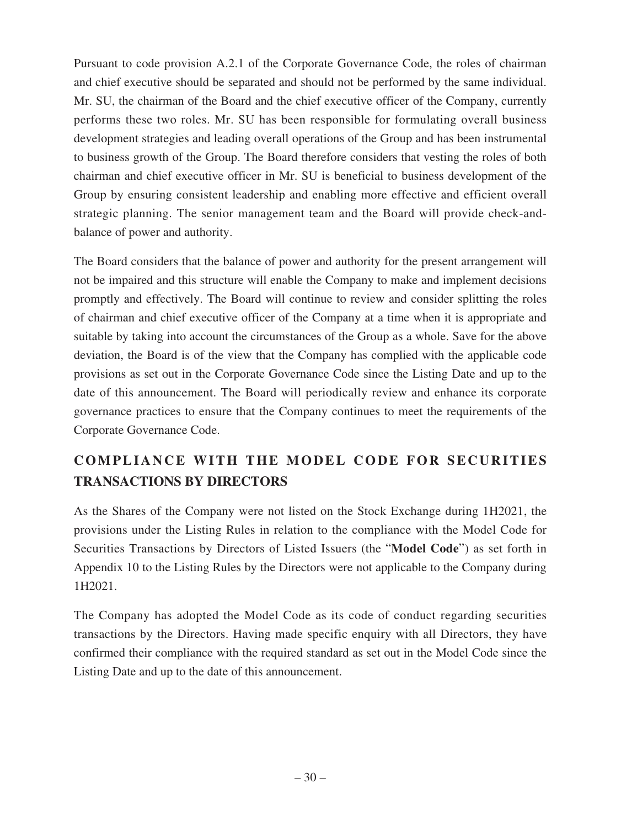Pursuant to code provision A.2.1 of the Corporate Governance Code, the roles of chairman and chief executive should be separated and should not be performed by the same individual. Mr. SU, the chairman of the Board and the chief executive officer of the Company, currently performs these two roles. Mr. SU has been responsible for formulating overall business development strategies and leading overall operations of the Group and has been instrumental to business growth of the Group. The Board therefore considers that vesting the roles of both chairman and chief executive officer in Mr. SU is beneficial to business development of the Group by ensuring consistent leadership and enabling more effective and efficient overall strategic planning. The senior management team and the Board will provide check-andbalance of power and authority.

The Board considers that the balance of power and authority for the present arrangement will not be impaired and this structure will enable the Company to make and implement decisions promptly and effectively. The Board will continue to review and consider splitting the roles of chairman and chief executive officer of the Company at a time when it is appropriate and suitable by taking into account the circumstances of the Group as a whole. Save for the above deviation, the Board is of the view that the Company has complied with the applicable code provisions as set out in the Corporate Governance Code since the Listing Date and up to the date of this announcement. The Board will periodically review and enhance its corporate governance practices to ensure that the Company continues to meet the requirements of the Corporate Governance Code.

# **COMPLIANCE WITH THE MODEL CODE FOR SECURITIES TRANSACTIONS BY DIRECTORS**

As the Shares of the Company were not listed on the Stock Exchange during 1H2021, the provisions under the Listing Rules in relation to the compliance with the Model Code for Securities Transactions by Directors of Listed Issuers (the "**Model Code**") as set forth in Appendix 10 to the Listing Rules by the Directors were not applicable to the Company during 1H2021.

The Company has adopted the Model Code as its code of conduct regarding securities transactions by the Directors. Having made specific enquiry with all Directors, they have confirmed their compliance with the required standard as set out in the Model Code since the Listing Date and up to the date of this announcement.